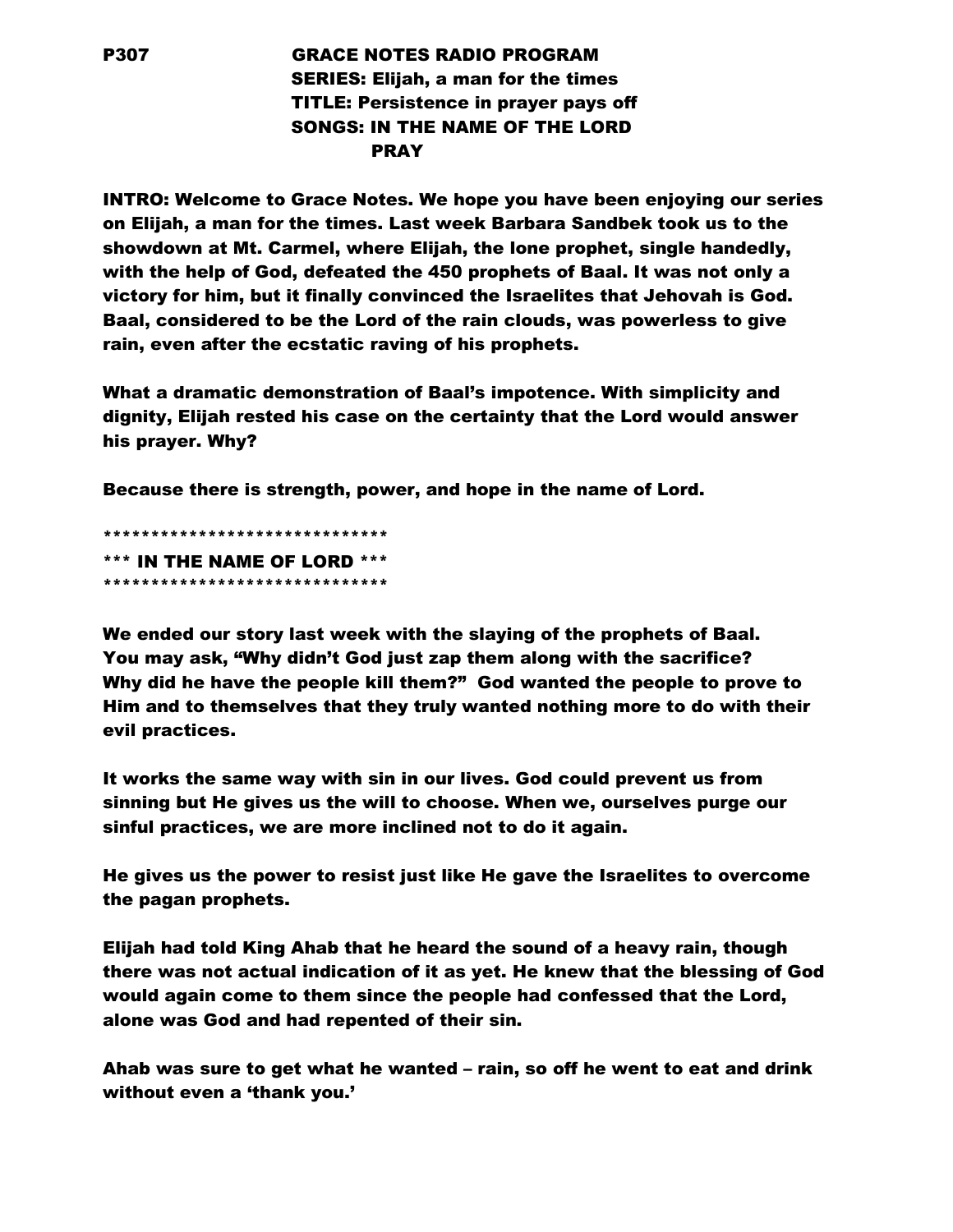## P307 GRACE NOTES RADIO PROGRAM SERIES: Elijah, a man for the times TITLE: Persistence in prayer pays off SONGS: IN THE NAME OF THE LORD PRAY

INTRO: Welcome to Grace Notes. We hope you have been enjoying our series on Elijah, a man for the times. Last week Barbara Sandbek took us to the showdown at Mt. Carmel, where Elijah, the lone prophet, single handedly, with the help of God, defeated the 450 prophets of Baal. It was not only a victory for him, but it finally convinced the Israelites that Jehovah is God. Baal, considered to be the Lord of the rain clouds, was powerless to give rain, even after the ecstatic raving of his prophets.

What a dramatic demonstration of Baal's impotence. With simplicity and dignity, Elijah rested his case on the certainty that the Lord would answer his prayer. Why?

Because there is strength, power, and hope in the name of Lord.

\*\*\*\*\*\*\*\*\*\*\*\*\*\*\*\*\*\*\*\*\*\*\*\*\*\*\*\*\*\* \*\*\* IN THE NAME OF LORD \*\*\* \*\*\*\*\*\*\*\*\*\*\*\*\*\*\*\*\*\*\*\*\*\*\*\*\*\*\*\*\*\*

We ended our story last week with the slaying of the prophets of Baal. You may ask, "Why didn't God just zap them along with the sacrifice? Why did he have the people kill them?" God wanted the people to prove to Him and to themselves that they truly wanted nothing more to do with their evil practices.

It works the same way with sin in our lives. God could prevent us from sinning but He gives us the will to choose. When we, ourselves purge our sinful practices, we are more inclined not to do it again.

He gives us the power to resist just like He gave the Israelites to overcome the pagan prophets.

Elijah had told King Ahab that he heard the sound of a heavy rain, though there was not actual indication of it as yet. He knew that the blessing of God would again come to them since the people had confessed that the Lord, alone was God and had repented of their sin.

Ahab was sure to get what he wanted – rain, so off he went to eat and drink without even a 'thank you.'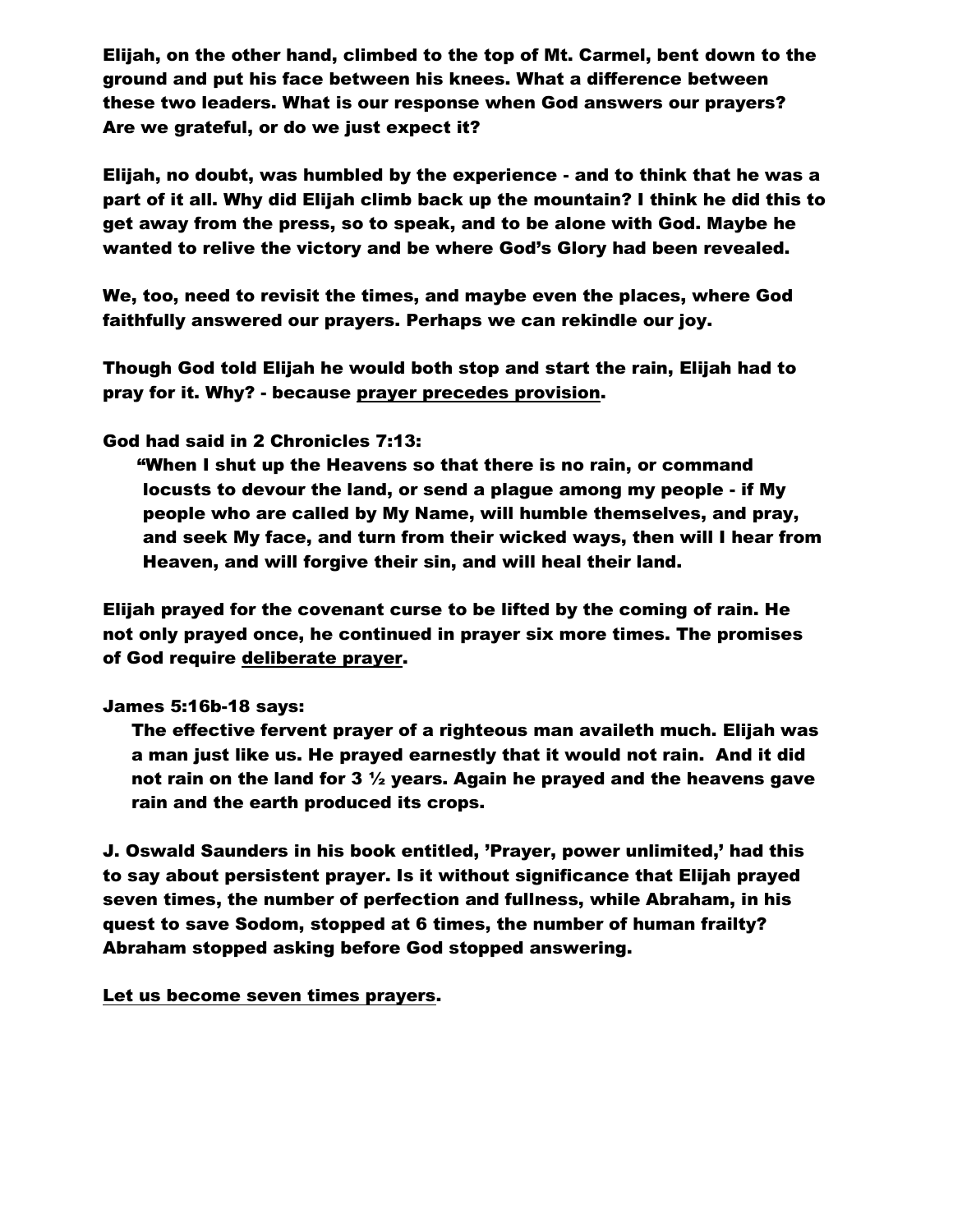Elijah, on the other hand, climbed to the top of Mt. Carmel, bent down to the ground and put his face between his knees. What a difference between these two leaders. What is our response when God answers our prayers? Are we grateful, or do we just expect it?

Elijah, no doubt, was humbled by the experience - and to think that he was a part of it all. Why did Elijah climb back up the mountain? I think he did this to get away from the press, so to speak, and to be alone with God. Maybe he wanted to relive the victory and be where God's Glory had been revealed.

We, too, need to revisit the times, and maybe even the places, where God faithfully answered our prayers. Perhaps we can rekindle our joy.

Though God told Elijah he would both stop and start the rain, Elijah had to pray for it. Why? - because prayer precedes provision.

## God had said in 2 Chronicles 7:13:

 "When I shut up the Heavens so that there is no rain, or command locusts to devour the land, or send a plague among my people - if My people who are called by My Name, will humble themselves, and pray, and seek My face, and turn from their wicked ways, then will I hear from Heaven, and will forgive their sin, and will heal their land.

Elijah prayed for the covenant curse to be lifted by the coming of rain. He not only prayed once, he continued in prayer six more times. The promises of God require deliberate prayer.

## James 5:16b-18 says:

 The effective fervent prayer of a righteous man availeth much. Elijah was a man just like us. He prayed earnestly that it would not rain. And it did not rain on the land for 3  $\frac{1}{2}$  years. Again he prayed and the heavens gave rain and the earth produced its crops.

J. Oswald Saunders in his book entitled, 'Prayer, power unlimited,' had this to say about persistent prayer. Is it without significance that Elijah prayed seven times, the number of perfection and fullness, while Abraham, in his quest to save Sodom, stopped at 6 times, the number of human frailty? Abraham stopped asking before God stopped answering.

Let us become seven times prayers.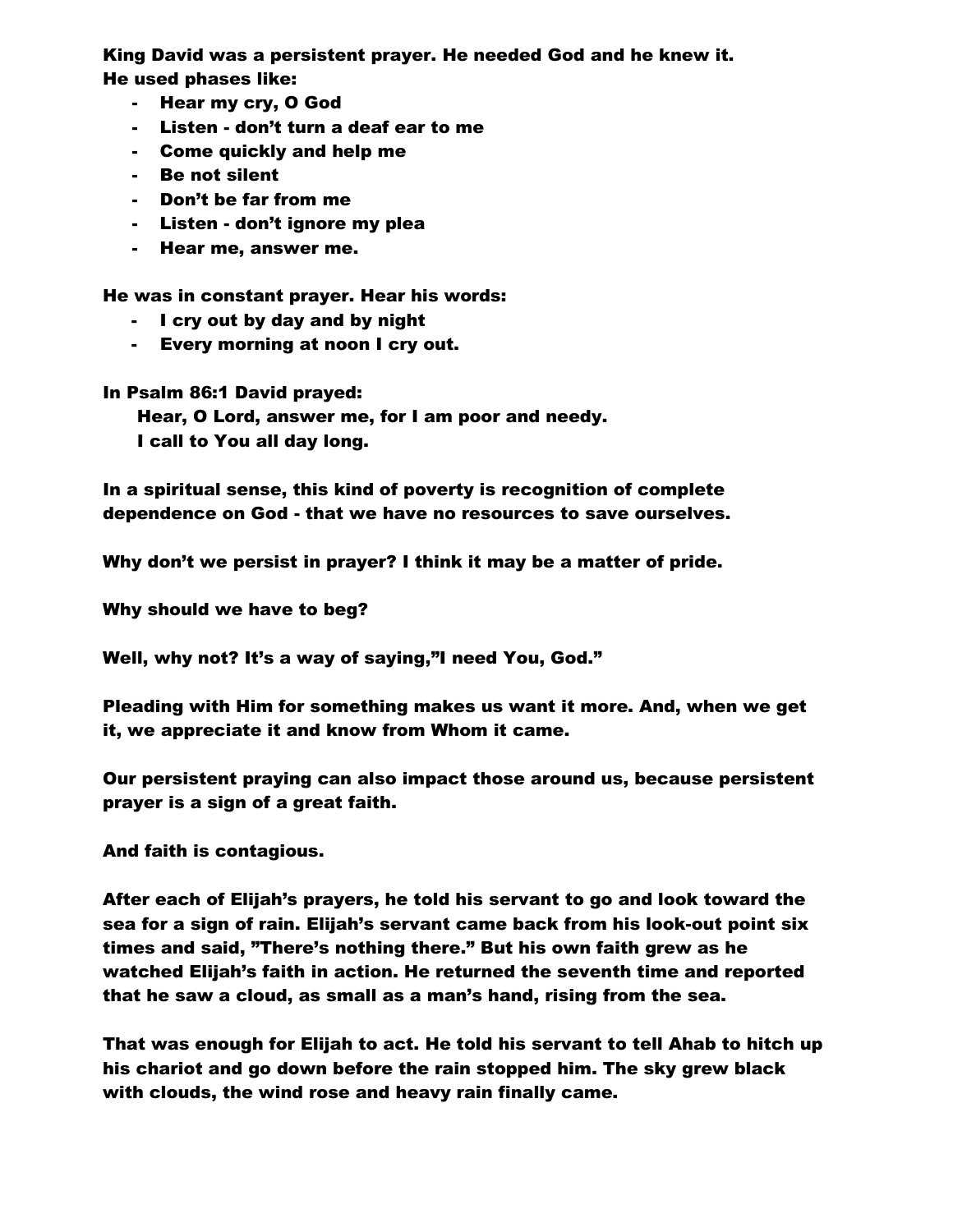King David was a persistent prayer. He needed God and he knew it. He used phases like:

- Hear my cry, O God
- Listen don't turn a deaf ear to me
- Come quickly and help me
- Be not silent
- Don't be far from me
- Listen don't ignore my plea
- Hear me, answer me.

He was in constant prayer. Hear his words:

- I cry out by day and by night
- Every morning at noon I cry out.

In Psalm 86:1 David prayed:

 Hear, O Lord, answer me, for I am poor and needy. I call to You all day long.

In a spiritual sense, this kind of poverty is recognition of complete dependence on God - that we have no resources to save ourselves.

Why don't we persist in prayer? I think it may be a matter of pride.

Why should we have to beg?

Well, why not? It's a way of saying,"I need You, God."

Pleading with Him for something makes us want it more. And, when we get it, we appreciate it and know from Whom it came.

Our persistent praying can also impact those around us, because persistent prayer is a sign of a great faith.

And faith is contagious.

After each of Elijah's prayers, he told his servant to go and look toward the sea for a sign of rain. Elijah's servant came back from his look-out point six times and said, "There's nothing there." But his own faith grew as he watched Elijah's faith in action. He returned the seventh time and reported that he saw a cloud, as small as a man's hand, rising from the sea.

That was enough for Elijah to act. He told his servant to tell Ahab to hitch up his chariot and go down before the rain stopped him. The sky grew black with clouds, the wind rose and heavy rain finally came.